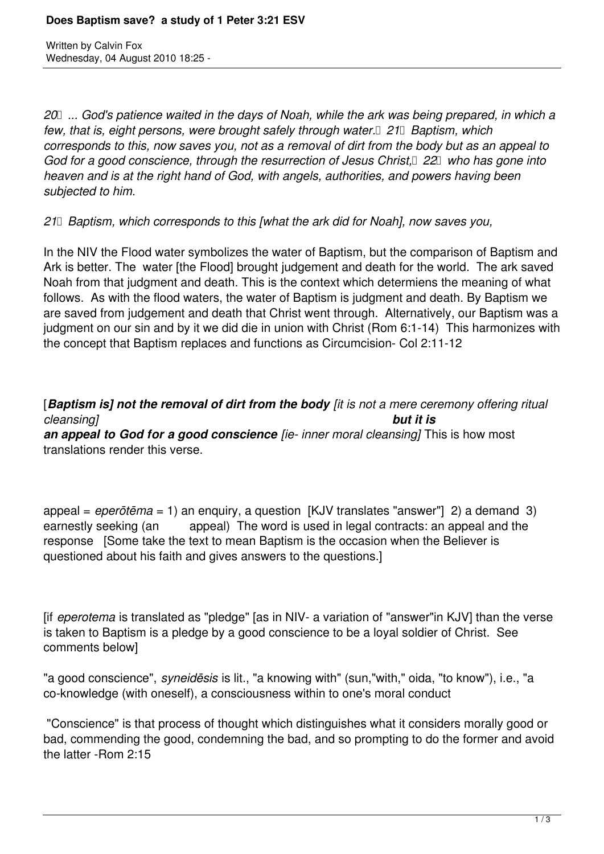Written by Calvin Fox Wednesday, 04 August 2010 18:25 -

*20 ... God's patience waited in the days of Noah, while the ark was being prepared, in which a* few, that is, eight persons, were brought safely through water.<sup>[21]</sup> Baptism, which *corresponds to this, now saves you, not as a removal of dirt from the body but as an appeal to* God for a good conscience, through the resurrection of Jesus Christ, <sup>22</sup> who has gone into *heaven and is at the right hand of God, with angels, authorities, and powers having been subjected to him.* 

*21 Baptism, which corresponds to this [what the ark did for Noah], now saves you,* 

In the NIV the Flood water symbolizes the water of Baptism, but the comparison of Baptism and Ark is better. The water [the Flood] brought judgement and death for the world. The ark saved Noah from that judgment and death. This is the context which determiens the meaning of what follows. As with the flood waters, the water of Baptism is judgment and death. By Baptism we are saved from judgement and death that Christ went through. Alternatively, our Baptism was a judgment on our sin and by it we did die in union with Christ (Rom 6:1-14) This harmonizes with the concept that Baptism replaces and functions as Circumcision- Col 2:11-12

[*Baptism is] not the removal of dirt from the body [it is not a mere ceremony offering ritual cleansing] but it is an appeal to God for a good conscience [ie- inner moral cleansing]* This is how most translations render this verse.

appeal = *eperōtēma* = 1) an enquiry, a question [KJV translates "answer"] 2) a demand 3) earnestly seeking (an appeal) The word is used in legal contracts: an appeal and the response [Some take the text to mean Baptism is the occasion when the Believer is questioned about his faith and gives answers to the questions.]

[if *eperotema* is translated as "pledge" [as in NIV- a variation of "answer"in KJV] than the verse is taken to Baptism is a pledge by a good conscience to be a loyal soldier of Christ. See comments below]

"a good conscience", *syneidēsis* is lit., "a knowing with" (sun,"with," oida, "to know"), i.e., "a co-knowledge (with oneself), a consciousness within to one's moral conduct

 "Conscience" is that process of thought which distinguishes what it considers morally good or bad, commending the good, condemning the bad, and so prompting to do the former and avoid the latter -Rom 2:15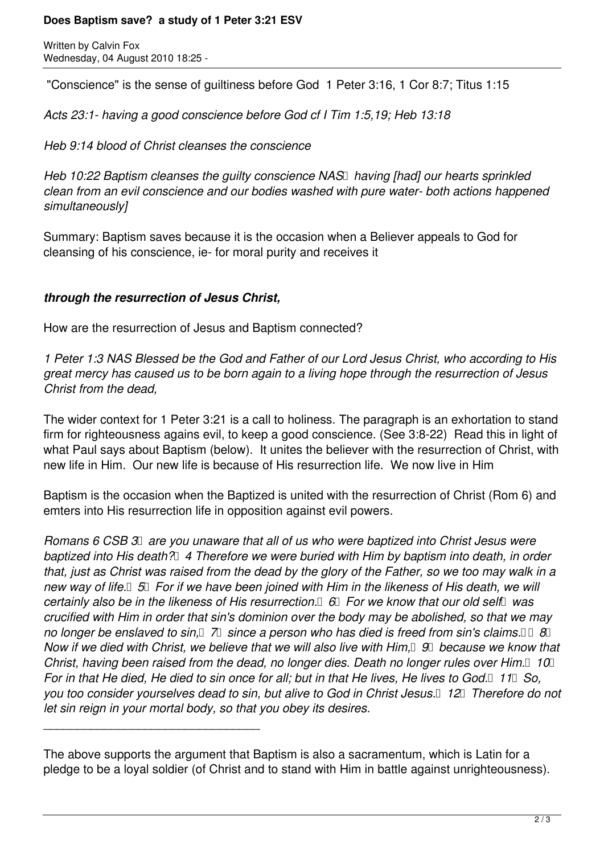## **Does Baptism save? a study of 1 Peter 3:21 ESV**

Written by Calvin Fox Wednesday, 04 August 2010 18:25 -

"Conscience" is the sense of guiltiness before God 1 Peter 3:16, 1 Cor 8:7; Titus 1:15

*Acts 23:1- having a good conscience before God cf I Tim 1:5,19; Heb 13:18*

*Heb 9:14 blood of Christ cleanses the conscience*

*Heb 10:22 Baptism cleanses the quilty conscience NAS having [had] our hearts sprinkled clean from an evil conscience and our bodies washed with pure water- both actions happened simultaneously]* 

Summary: Baptism saves because it is the occasion when a Believer appeals to God for cleansing of his conscience, ie- for moral purity and receives it

## *through the resurrection of Jesus Christ,*

\_\_\_\_\_\_\_\_\_\_\_\_\_\_\_\_\_\_\_\_\_\_\_\_\_\_\_\_\_\_\_\_

How are the resurrection of Jesus and Baptism connected?

*1 Peter 1:3 NAS Blessed be the God and Father of our Lord Jesus Christ, who according to His great mercy has caused us to be born again to a living hope through the resurrection of Jesus Christ from the dead,*

The wider context for 1 Peter 3:21 is a call to holiness. The paragraph is an exhortation to stand firm for righteousness agains evil, to keep a good conscience. (See 3:8-22) Read this in light of what Paul says about Baptism (below). It unites the believer with the resurrection of Christ, with new life in Him. Our new life is because of His resurrection life. We now live in Him

Baptism is the occasion when the Baptized is united with the resurrection of Christ (Rom 6) and emters into His resurrection life in opposition against evil powers.

*Romans 6 CSB 3 are you unaware that all of us who were baptized into Christ Jesus were baptized into His death? 4 Therefore we were buried with Him by baptism into death, in order that, just as Christ was raised from the dead by the glory of the Father, so we too may walk in a* new way of life. **5 5** *For if we have been joined with Him in the likeness of His death, we will certainly also be in the likeness of His resurrection.*  $\Box$  *For we know that our old self* was *crucified with Him in order that sin's dominion over the body may be abolished, so that we may no longer be enslaved to sin*,  $\Box$   $\Box$  *since a person who has died is freed from sin's claims.*  $\Box$  8 & *Now if we died with Christ, we believe that we will also live with Him,* 9 9 *because we know that Christ, having been raised from the dead, no longer dies. Death no longer rules over Him.* 10 **10** *For in that He died, He died to sin once for all; but in that He lives, He lives to God.* 11 *So, you too consider yourselves dead to sin, but alive to God in Christ Jesus. 12 Therefore do not let sin reign in your mortal body, so that you obey its desires.* 

The above supports the argument that Baptism is also a sacramentum, which is Latin for a pledge to be a loyal soldier (of Christ and to stand with Him in battle against unrighteousness).